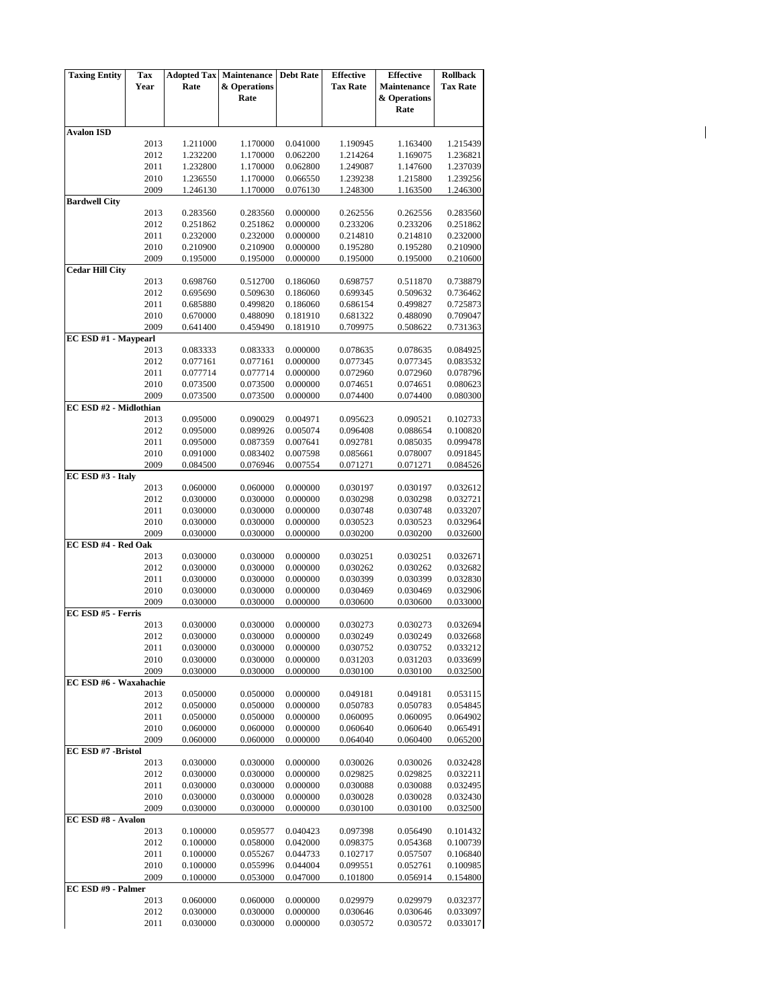| <b>Taxing Entity</b>   | Tax          | <b>Adopted Tax</b>   | Maintenance          | <b>Debt Rate</b>     | <b>Effective</b>     | <b>Effective</b>     | <b>Rollback</b>      |
|------------------------|--------------|----------------------|----------------------|----------------------|----------------------|----------------------|----------------------|
|                        | Year         | Rate                 | & Operations         |                      | <b>Tax Rate</b>      | Maintenance          | <b>Tax Rate</b>      |
|                        |              |                      | Rate                 |                      |                      | & Operations         |                      |
|                        |              |                      |                      |                      |                      | Rate                 |                      |
|                        |              |                      |                      |                      |                      |                      |                      |
| Avalon ISD             |              |                      |                      |                      |                      |                      |                      |
|                        | 2013         | 1.211000             | 1.170000             | 0.041000             | 1.190945             | 1.163400             | 1.215439             |
|                        | 2012         | 1.232200             | 1.170000             | 0.062200             | 1.214264             | 1.169075             | 1.236821             |
|                        | 2011         | 1.232800             | 1.170000             | 0.062800             | 1.249087             | 1.147600             | 1.237039             |
|                        | 2010         | 1.236550             | 1.170000             | 0.066550             | 1.239238             | 1.215800             | 1.239256             |
|                        | 2009         | 1.246130             | 1.170000             | 0.076130             | 1.248300             | 1.163500             | 1.246300             |
| <b>Bardwell City</b>   | 2013         | 0.283560             | 0.283560             | 0.000000             | 0.262556             | 0.262556             | 0.283560             |
|                        | 2012         | 0.251862             | 0.251862             | 0.000000             | 0.233206             | 0.233206             | 0.251862             |
|                        | 2011         | 0.232000             | 0.232000             | 0.000000             | 0.214810             | 0.214810             | 0.232000             |
|                        | 2010         | 0.210900             | 0.210900             | 0.000000             | 0.195280             | 0.195280             | 0.210900             |
|                        | 2009         | 0.195000             | 0.195000             | 0.000000             | 0.195000             | 0.195000             | 0.210600             |
| <b>Cedar Hill City</b> |              |                      |                      |                      |                      |                      |                      |
|                        | 2013         | 0.698760             | 0.512700             | 0.186060             | 0.698757             | 0.511870             | 0.738879             |
|                        | 2012         | 0.695690             | 0.509630             | 0.186060             | 0.699345             | 0.509632             | 0.736462             |
|                        | 2011         | 0.685880             | 0.499820             | 0.186060             | 0.686154             | 0.499827             | 0.725873             |
|                        | 2010         | 0.670000             | 0.488090             | 0.181910             | 0.681322             | 0.488090             | 0.709047             |
|                        | 2009         | 0.641400             | 0.459490             | 0.181910             | 0.709975             | 0.508622             | 0.731363             |
| EC ESD #1 - Maypearl   |              |                      |                      |                      |                      |                      |                      |
|                        | 2013         | 0.083333             | 0.083333             | 0.000000             | 0.078635             | 0.078635             | 0.084925             |
|                        | 2012         | 0.077161             | 0.077161             | 0.000000             | 0.077345             | 0.077345             | 0.083532             |
|                        | 2011         | 0.077714             | 0.077714             | 0.000000             | 0.072960             | 0.072960             | 0.078796             |
|                        | 2010         | 0.073500             | 0.073500             | 0.000000             | 0.074651             | 0.074651             | 0.080623             |
|                        | 2009         | 0.073500             | 0.073500             | 0.000000             | 0.074400             | 0.074400             | 0.080300             |
| EC ESD #2 - Midlothian |              |                      |                      |                      |                      |                      |                      |
|                        | 2013         | 0.095000             | 0.090029             | 0.004971             | 0.095623             | 0.090521             | 0.102733             |
|                        | 2012         | 0.095000             | 0.089926             | 0.005074             | 0.096408             | 0.088654             | 0.100820             |
|                        | 2011         | 0.095000             | 0.087359             | 0.007641             | 0.092781             | 0.085035             | 0.099478             |
|                        | 2010<br>2009 | 0.091000<br>0.084500 | 0.083402<br>0.076946 | 0.007598<br>0.007554 | 0.085661<br>0.071271 | 0.078007<br>0.071271 | 0.091845<br>0.084526 |
| EC ESD #3 - Italy      |              |                      |                      |                      |                      |                      |                      |
|                        | 2013         | 0.060000             | 0.060000             | 0.000000             | 0.030197             | 0.030197             | 0.032612             |
|                        | 2012         | 0.030000             | 0.030000             | 0.000000             | 0.030298             | 0.030298             | 0.032721             |
|                        | 2011         | 0.030000             | 0.030000             | 0.000000             | 0.030748             | 0.030748             | 0.033207             |
|                        | 2010         | 0.030000             | 0.030000             | 0.000000             | 0.030523             | 0.030523             | 0.032964             |
|                        | 2009         | 0.030000             | 0.030000             | 0.000000             | 0.030200             | 0.030200             | 0.032600             |
| EC ESD #4 - Red Oak    |              |                      |                      |                      |                      |                      |                      |
|                        | 2013         | 0.030000             | 0.030000             | 0.000000             | 0.030251             | 0.030251             | 0.032671             |
|                        | 2012         | 0.030000             | 0.030000             | 0.000000             | 0.030262             | 0.030262             | 0.032682             |
|                        | 2011         | 0.030000             | 0.030000             | 0.000000             | 0.030399             | 0.030399             | 0.032830             |
|                        | 2010         | 0.030000             | 0.030000             | 0.000000             | 0.030469             | 0.030469             | 0.032906             |
|                        | 2009         | 0.030000             | 0.030000             | 0.000000             | 0.030600             | 0.030600             | 0.033000             |
| EC ESD #5 - Ferris     |              |                      |                      |                      |                      |                      |                      |
|                        | 2013         | 0.030000             | 0.030000             | 0.000000             | 0.030273             | 0.030273             | 0.032694             |
|                        | 2012         | 0.030000             | 0.030000             | 0.000000             | 0.030249             | 0.030249             | 0.032668             |
|                        | 2011         | 0.030000             | 0.030000             | 0.000000             | 0.030752             | 0.030752             | 0.033212             |
|                        | 2010<br>2009 | 0.030000             | 0.030000             | 0.000000             | 0.031203<br>0.030100 | 0.031203             | 0.033699             |
| EC ESD #6 - Waxahachie |              | 0.030000             | 0.030000             | 0.000000             |                      | 0.030100             | 0.032500             |
|                        | 2013         | 0.050000             | 0.050000             | 0.000000             | 0.049181             | 0.049181             | 0.053115             |
|                        | 2012         | 0.050000             | 0.050000             | 0.000000             | 0.050783             | 0.050783             | 0.054845             |
|                        | 2011         | 0.050000             | 0.050000             | 0.000000             | 0.060095             | 0.060095             | 0.064902             |
|                        | 2010         | 0.060000             | 0.060000             | 0.000000             | 0.060640             | 0.060640             | 0.065491             |
|                        | 2009         | 0.060000             | 0.060000             | 0.000000             | 0.064040             | 0.060400             | 0.065200             |
| EC ESD #7 - Bristol    |              |                      |                      |                      |                      |                      |                      |
|                        | 2013         | 0.030000             | 0.030000             | 0.000000             | 0.030026             | 0.030026             | 0.032428             |
|                        | 2012         | 0.030000             | 0.030000             | 0.000000             | 0.029825             | 0.029825             | 0.032211             |
|                        | 2011         | 0.030000             | 0.030000             | 0.000000             | 0.030088             | 0.030088             | 0.032495             |
|                        | 2010         | 0.030000             | 0.030000             | 0.000000             | 0.030028             | 0.030028             | 0.032430             |
|                        | 2009         | 0.030000             | 0.030000             | 0.000000             | 0.030100             | 0.030100             | 0.032500             |
| EC ESD #8 - Avalon     |              |                      |                      |                      |                      |                      |                      |
|                        | 2013         | 0.100000             | 0.059577             | 0.040423             | 0.097398             | 0.056490             | 0.101432             |
|                        | 2012         | 0.100000             | 0.058000             | 0.042000             | 0.098375             | 0.054368             | 0.100739             |
|                        | 2011         | 0.100000             | 0.055267             | 0.044733             | 0.102717             | 0.057507             | 0.106840             |
|                        | 2010         | 0.100000             | 0.055996             | 0.044004             | 0.099551             | 0.052761             | 0.100985             |
|                        | 2009         | 0.100000             | 0.053000             | 0.047000             | 0.101800             | 0.056914             | 0.154800             |
| EC ESD #9 - Palmer     |              |                      |                      |                      |                      |                      |                      |
|                        | 2013<br>2012 | 0.060000<br>0.030000 | 0.060000<br>0.030000 | 0.000000<br>0.000000 | 0.029979<br>0.030646 | 0.029979<br>0.030646 | 0.032377<br>0.033097 |
|                        | 2011         | 0.030000             | 0.030000             | 0.000000             | 0.030572             | 0.030572             | 0.033017             |
|                        |              |                      |                      |                      |                      |                      |                      |

 $\begin{array}{c} \begin{array}{c} \end{array} \end{array}$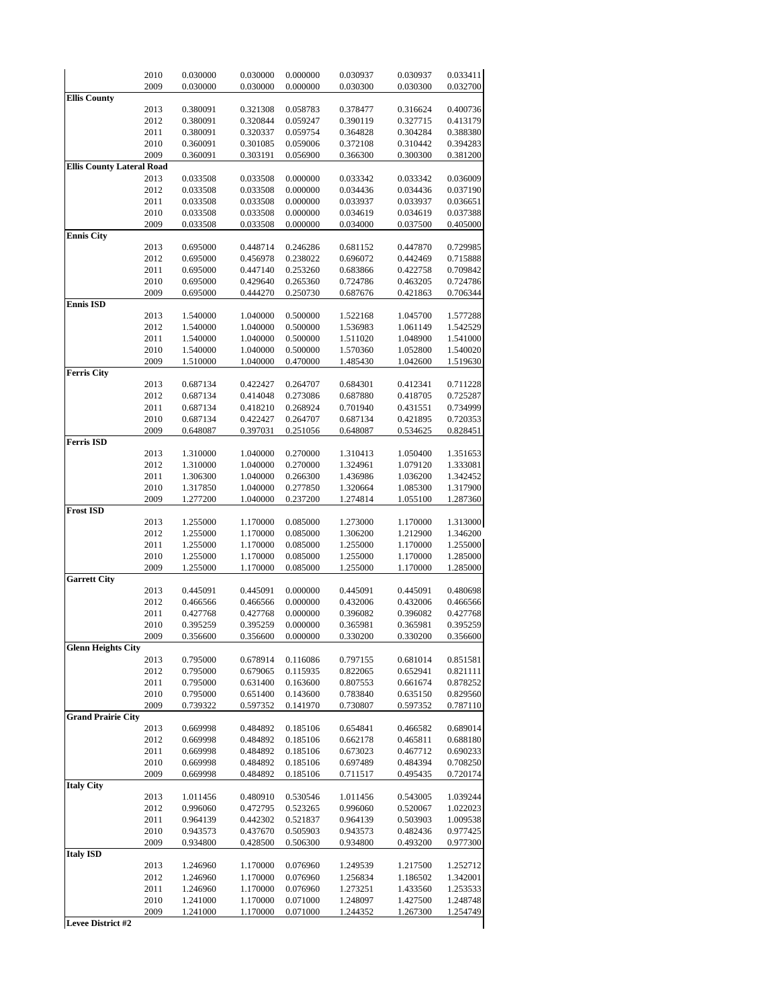|                                  | 2010 | 0.030000 | 0.030000 | 0.000000 | 0.030937 | 0.030937 | 0.033411 |
|----------------------------------|------|----------|----------|----------|----------|----------|----------|
|                                  | 2009 | 0.030000 | 0.030000 | 0.000000 | 0.030300 | 0.030300 | 0.032700 |
| <b>Ellis County</b>              |      |          |          |          |          |          |          |
|                                  | 2013 | 0.380091 | 0.321308 | 0.058783 | 0.378477 | 0.316624 | 0.400736 |
|                                  | 2012 | 0.380091 | 0.320844 | 0.059247 | 0.390119 | 0.327715 | 0.413179 |
|                                  | 2011 | 0.380091 | 0.320337 | 0.059754 | 0.364828 | 0.304284 | 0.388380 |
|                                  | 2010 | 0.360091 | 0.301085 | 0.059006 | 0.372108 | 0.310442 | 0.394283 |
|                                  | 2009 | 0.360091 | 0.303191 | 0.056900 | 0.366300 | 0.300300 | 0.381200 |
| <b>Ellis County Lateral Road</b> |      |          |          |          |          |          |          |
|                                  | 2013 | 0.033508 | 0.033508 | 0.000000 | 0.033342 | 0.033342 | 0.036009 |
|                                  | 2012 | 0.033508 | 0.033508 | 0.000000 | 0.034436 | 0.034436 | 0.037190 |
|                                  | 2011 | 0.033508 | 0.033508 | 0.000000 | 0.033937 | 0.033937 | 0.036651 |
|                                  | 2010 | 0.033508 | 0.033508 | 0.000000 | 0.034619 | 0.034619 | 0.037388 |
|                                  | 2009 | 0.033508 | 0.033508 | 0.000000 | 0.034000 | 0.037500 | 0.405000 |
| <b>Ennis City</b>                |      |          |          |          |          |          |          |
|                                  | 2013 | 0.695000 | 0.448714 | 0.246286 | 0.681152 | 0.447870 | 0.729985 |
|                                  | 2012 | 0.695000 | 0.456978 | 0.238022 | 0.696072 | 0.442469 | 0.715888 |
|                                  | 2011 | 0.695000 | 0.447140 | 0.253260 | 0.683866 | 0.422758 | 0.709842 |
|                                  | 2010 | 0.695000 | 0.429640 | 0.265360 | 0.724786 | 0.463205 | 0.724786 |
|                                  | 2009 | 0.695000 | 0.444270 | 0.250730 | 0.687676 | 0.421863 | 0.706344 |
| <b>Ennis ISD</b>                 |      |          |          |          |          |          |          |
|                                  | 2013 | 1.540000 | 1.040000 | 0.500000 | 1.522168 | 1.045700 | 1.577288 |
|                                  | 2012 | 1.540000 | 1.040000 | 0.500000 | 1.536983 | 1.061149 | 1.542529 |
|                                  | 2011 | 1.540000 | 1.040000 | 0.500000 | 1.511020 | 1.048900 | 1.541000 |
|                                  | 2010 | 1.540000 | 1.040000 | 0.500000 | 1.570360 | 1.052800 | 1.540020 |
|                                  | 2009 | 1.510000 | 1.040000 | 0.470000 | 1.485430 | 1.042600 | 1.519630 |
| <b>Ferris City</b>               |      |          |          |          |          |          |          |
|                                  | 2013 | 0.687134 | 0.422427 | 0.264707 | 0.684301 | 0.412341 | 0.711228 |
|                                  | 2012 | 0.687134 | 0.414048 | 0.273086 | 0.687880 | 0.418705 | 0.725287 |
|                                  | 2011 | 0.687134 | 0.418210 | 0.268924 | 0.701940 | 0.431551 | 0.734999 |
|                                  | 2010 | 0.687134 | 0.422427 | 0.264707 | 0.687134 | 0.421895 | 0.720353 |
|                                  | 2009 | 0.648087 | 0.397031 | 0.251056 | 0.648087 | 0.534625 | 0.828451 |
| <b>Ferris ISD</b>                |      |          |          |          |          |          |          |
|                                  | 2013 | 1.310000 | 1.040000 | 0.270000 | 1.310413 | 1.050400 | 1.351653 |
|                                  | 2012 | 1.310000 | 1.040000 | 0.270000 | 1.324961 | 1.079120 | 1.333081 |
|                                  | 2011 | 1.306300 | 1.040000 | 0.266300 | 1.436986 | 1.036200 | 1.342452 |
|                                  | 2010 | 1.317850 | 1.040000 | 0.277850 | 1.320664 | 1.085300 | 1.317900 |
|                                  | 2009 | 1.277200 | 1.040000 | 0.237200 | 1.274814 | 1.055100 | 1.287360 |
| <b>Frost ISD</b>                 |      |          |          |          |          |          |          |
|                                  | 2013 | 1.255000 | 1.170000 | 0.085000 | 1.273000 | 1.170000 | 1.313000 |
|                                  | 2012 | 1.255000 | 1.170000 | 0.085000 | 1.306200 | 1.212900 | 1.346200 |
|                                  | 2011 | 1.255000 | 1.170000 | 0.085000 | 1.255000 | 1.170000 | 1.255000 |
|                                  | 2010 | 1.255000 | 1.170000 | 0.085000 | 1.255000 | 1.170000 | 1.285000 |
|                                  | 2009 | 1.255000 | 1.170000 | 0.085000 | 1.255000 | 1.170000 | 1.285000 |
| <b>Garrett City</b>              |      |          |          |          |          |          |          |
|                                  | 2013 | 0.445091 | 0.445091 | 0.000000 | 0.445091 | 0.445091 | 0.480698 |
|                                  | 2012 | 0.466566 | 0.466566 | 0.000000 | 0.432006 | 0.432006 | 0.466566 |
|                                  | 2011 | 0.427768 | 0.427768 | 0.000000 | 0.396082 | 0.396082 | 0.427768 |
|                                  | 2010 | 0.395259 | 0.395259 | 0.000000 | 0.365981 | 0.365981 | 0.395259 |
|                                  | 2009 | 0.356600 | 0.356600 | 0.000000 | 0.330200 | 0.330200 | 0.356600 |
| <b>Glenn Heights City</b>        |      |          |          |          |          |          |          |
|                                  | 2013 | 0.795000 | 0.678914 | 0.116086 | 0.797155 | 0.681014 | 0.851581 |
|                                  | 2012 | 0.795000 | 0.679065 | 0.115935 | 0.822065 | 0.652941 | 0.821111 |
|                                  | 2011 | 0.795000 | 0.631400 | 0.163600 | 0.807553 | 0.661674 | 0.878252 |
|                                  | 2010 | 0.795000 | 0.651400 | 0.143600 | 0.783840 | 0.635150 | 0.829560 |
|                                  | 2009 | 0.739322 | 0.597352 | 0.141970 | 0.730807 | 0.597352 | 0.787110 |
| <b>Grand Prairie City</b>        |      |          |          |          |          |          |          |
|                                  | 2013 | 0.669998 | 0.484892 | 0.185106 | 0.654841 | 0.466582 | 0.689014 |
|                                  | 2012 | 0.669998 | 0.484892 | 0.185106 | 0.662178 | 0.465811 | 0.688180 |
|                                  | 2011 | 0.669998 | 0.484892 | 0.185106 | 0.673023 | 0.467712 | 0.690233 |
|                                  | 2010 | 0.669998 | 0.484892 | 0.185106 | 0.697489 | 0.484394 | 0.708250 |
|                                  | 2009 | 0.669998 | 0.484892 | 0.185106 | 0.711517 | 0.495435 | 0.720174 |
| <b>Italy City</b>                |      |          |          |          |          |          |          |
|                                  | 2013 | 1.011456 | 0.480910 | 0.530546 | 1.011456 | 0.543005 | 1.039244 |
|                                  | 2012 | 0.996060 | 0.472795 | 0.523265 | 0.996060 | 0.520067 | 1.022023 |
|                                  | 2011 | 0.964139 | 0.442302 | 0.521837 | 0.964139 | 0.503903 | 1.009538 |
|                                  | 2010 | 0.943573 | 0.437670 | 0.505903 | 0.943573 | 0.482436 | 0.977425 |
|                                  | 2009 | 0.934800 | 0.428500 | 0.506300 | 0.934800 | 0.493200 | 0.977300 |
| <b>Italy ISD</b>                 |      |          |          |          |          |          |          |
|                                  | 2013 | 1.246960 | 1.170000 | 0.076960 | 1.249539 | 1.217500 | 1.252712 |
|                                  | 2012 | 1.246960 | 1.170000 | 0.076960 | 1.256834 | 1.186502 | 1.342001 |
|                                  | 2011 | 1.246960 | 1.170000 | 0.076960 | 1.273251 | 1.433560 | 1.253533 |
|                                  | 2010 | 1.241000 | 1.170000 | 0.071000 | 1.248097 | 1.427500 | 1.248748 |
|                                  | 2009 | 1.241000 |          |          |          |          | 1.254749 |
| <b>Levee District #2</b>         |      |          | 1.170000 | 0.071000 | 1.244352 | 1.267300 |          |
|                                  |      |          |          |          |          |          |          |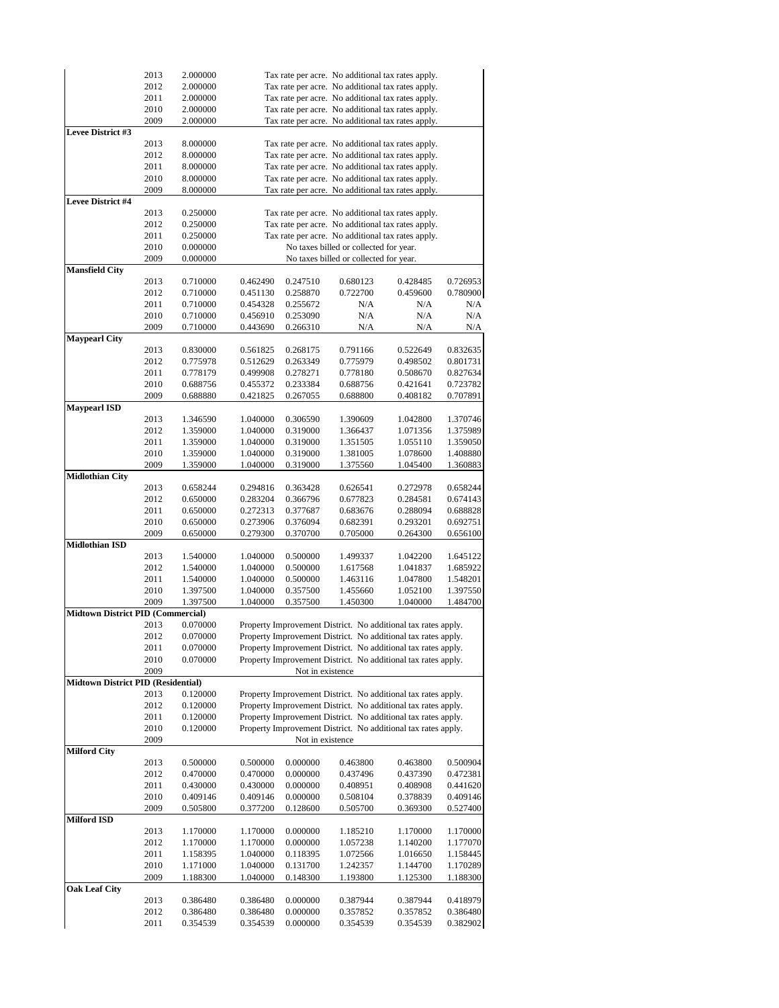|                                           | 2013 | 2.000000 |          |                  | Tax rate per acre. No additional tax rates apply.             |          |          |
|-------------------------------------------|------|----------|----------|------------------|---------------------------------------------------------------|----------|----------|
|                                           |      |          |          |                  |                                                               |          |          |
|                                           | 2012 | 2.000000 |          |                  | Tax rate per acre. No additional tax rates apply.             |          |          |
|                                           | 2011 | 2.000000 |          |                  | Tax rate per acre. No additional tax rates apply.             |          |          |
|                                           | 2010 | 2.000000 |          |                  | Tax rate per acre. No additional tax rates apply.             |          |          |
|                                           | 2009 | 2.000000 |          |                  | Tax rate per acre. No additional tax rates apply.             |          |          |
| Levee District #3                         |      |          |          |                  |                                                               |          |          |
|                                           | 2013 | 8.000000 |          |                  | Tax rate per acre. No additional tax rates apply.             |          |          |
|                                           | 2012 | 8.000000 |          |                  | Tax rate per acre. No additional tax rates apply.             |          |          |
|                                           | 2011 | 8.000000 |          |                  | Tax rate per acre. No additional tax rates apply.             |          |          |
|                                           | 2010 | 8.000000 |          |                  | Tax rate per acre. No additional tax rates apply.             |          |          |
|                                           | 2009 | 8.000000 |          |                  | Tax rate per acre. No additional tax rates apply.             |          |          |
| <b>Levee District #4</b>                  |      |          |          |                  |                                                               |          |          |
|                                           |      |          |          |                  |                                                               |          |          |
|                                           | 2013 | 0.250000 |          |                  | Tax rate per acre. No additional tax rates apply.             |          |          |
|                                           | 2012 | 0.250000 |          |                  | Tax rate per acre. No additional tax rates apply.             |          |          |
|                                           | 2011 | 0.250000 |          |                  | Tax rate per acre. No additional tax rates apply.             |          |          |
|                                           | 2010 | 0.000000 |          |                  | No taxes billed or collected for year.                        |          |          |
|                                           | 2009 | 0.000000 |          |                  | No taxes billed or collected for year.                        |          |          |
| <b>Mansfield City</b>                     |      |          |          |                  |                                                               |          |          |
|                                           | 2013 | 0.710000 | 0.462490 | 0.247510         | 0.680123                                                      | 0.428485 | 0.726953 |
|                                           | 2012 | 0.710000 | 0.451130 | 0.258870         | 0.722700                                                      | 0.459600 | 0.780900 |
|                                           |      |          |          |                  | N/A                                                           | N/A      | N/A      |
|                                           | 2011 | 0.710000 | 0.454328 | 0.255672         |                                                               |          |          |
|                                           | 2010 | 0.710000 | 0.456910 | 0.253090         | N/A                                                           | N/A      | N/A      |
|                                           | 2009 | 0.710000 | 0.443690 | 0.266310         | N/A                                                           | N/A      | N/A      |
| <b>Maypearl City</b>                      |      |          |          |                  |                                                               |          |          |
|                                           | 2013 | 0.830000 | 0.561825 | 0.268175         | 0.791166                                                      | 0.522649 | 0.832635 |
|                                           | 2012 | 0.775978 | 0.512629 | 0.263349         | 0.775979                                                      | 0.498502 | 0.801731 |
|                                           | 2011 | 0.778179 | 0.499908 | 0.278271         | 0.778180                                                      | 0.508670 | 0.827634 |
|                                           | 2010 | 0.688756 | 0.455372 | 0.233384         | 0.688756                                                      | 0.421641 | 0.723782 |
|                                           | 2009 | 0.688880 | 0.421825 | 0.267055         | 0.688800                                                      | 0.408182 | 0.707891 |
| <b>Maypearl ISD</b>                       |      |          |          |                  |                                                               |          |          |
|                                           |      |          |          |                  |                                                               |          |          |
|                                           | 2013 | 1.346590 | 1.040000 | 0.306590         | 1.390609                                                      | 1.042800 | 1.370746 |
|                                           | 2012 | 1.359000 | 1.040000 | 0.319000         | 1.366437                                                      | 1.071356 | 1.375989 |
|                                           | 2011 | 1.359000 | 1.040000 | 0.319000         | 1.351505                                                      | 1.055110 | 1.359050 |
|                                           | 2010 | 1.359000 | 1.040000 | 0.319000         | 1.381005                                                      | 1.078600 | 1.408880 |
|                                           | 2009 | 1.359000 | 1.040000 | 0.319000         | 1.375560                                                      | 1.045400 | 1.360883 |
| <b>Midlothian City</b>                    |      |          |          |                  |                                                               |          |          |
|                                           | 2013 | 0.658244 | 0.294816 | 0.363428         | 0.626541                                                      | 0.272978 | 0.658244 |
|                                           | 2012 | 0.650000 | 0.283204 | 0.366796         | 0.677823                                                      | 0.284581 | 0.674143 |
|                                           | 2011 | 0.650000 | 0.272313 | 0.377687         | 0.683676                                                      | 0.288094 | 0.688828 |
|                                           |      |          |          |                  |                                                               |          |          |
|                                           | 2010 | 0.650000 | 0.273906 | 0.376094         | 0.682391                                                      | 0.293201 | 0.692751 |
|                                           | 2009 | 0.650000 | 0.279300 | 0.370700         | 0.705000                                                      | 0.264300 | 0.656100 |
| <b>Midlothian ISD</b>                     |      |          |          |                  |                                                               |          |          |
|                                           | 2013 | 1.540000 | 1.040000 | 0.500000         | 1.499337                                                      | 1.042200 | 1.645122 |
|                                           | 2012 | 1.540000 | 1.040000 | 0.500000         | 1.617568                                                      | 1.041837 | 1.685922 |
|                                           | 2011 | 1.540000 | 1.040000 | 0.500000         | 1.463116                                                      | 1.047800 | 1.548201 |
|                                           | 2010 | 1.397500 | 1.040000 | 0.357500         | 1.455660                                                      | 1.052100 | 1.397550 |
|                                           | 2009 | 1.397500 | 1.040000 | 0.357500         | 1.450300                                                      | 1.040000 | 1.484700 |
| <b>Midtown District PID (Commercial)</b>  |      |          |          |                  |                                                               |          |          |
|                                           | 2013 | 0.070000 |          |                  | Property Improvement District. No additional tax rates apply. |          |          |
|                                           |      |          |          |                  | Property Improvement District. No additional tax rates apply. |          |          |
|                                           | 2012 | 0.070000 |          |                  |                                                               |          |          |
|                                           | 2011 | 0.070000 |          |                  | Property Improvement District. No additional tax rates apply. |          |          |
|                                           | 2010 | 0.070000 |          |                  | Property Improvement District. No additional tax rates apply. |          |          |
|                                           | 2009 |          |          | Not in existence |                                                               |          |          |
| <b>Midtown District PID (Residential)</b> |      |          |          |                  |                                                               |          |          |
|                                           | 2013 | 0.120000 |          |                  | Property Improvement District. No additional tax rates apply. |          |          |
|                                           | 2012 | 0.120000 |          |                  | Property Improvement District. No additional tax rates apply. |          |          |
|                                           | 2011 | 0.120000 |          |                  | Property Improvement District. No additional tax rates apply. |          |          |
|                                           | 2010 | 0.120000 |          |                  | Property Improvement District. No additional tax rates apply. |          |          |
|                                           |      |          |          |                  |                                                               |          |          |
|                                           | 2009 |          |          | Not in existence |                                                               |          |          |
| <b>Milford City</b>                       |      |          |          |                  |                                                               |          |          |
|                                           | 2013 | 0.500000 | 0.500000 | 0.000000         | 0.463800                                                      | 0.463800 | 0.500904 |
|                                           | 2012 | 0.470000 | 0.470000 | 0.000000         | 0.437496                                                      | 0.437390 | 0.472381 |
|                                           | 2011 | 0.430000 | 0.430000 | 0.000000         | 0.408951                                                      | 0.408908 | 0.441620 |
|                                           | 2010 | 0.409146 | 0.409146 | 0.000000         | 0.508104                                                      | 0.378839 | 0.409146 |
|                                           | 2009 | 0.505800 | 0.377200 | 0.128600         | 0.505700                                                      | 0.369300 | 0.527400 |
| <b>Milford ISD</b>                        |      |          |          |                  |                                                               |          |          |
|                                           |      |          |          |                  |                                                               |          |          |
|                                           | 2013 | 1.170000 | 1.170000 | 0.000000         | 1.185210                                                      | 1.170000 | 1.170000 |
|                                           | 2012 | 1.170000 | 1.170000 | 0.000000         | 1.057238                                                      | 1.140200 | 1.177070 |
|                                           | 2011 | 1.158395 | 1.040000 | 0.118395         | 1.072566                                                      | 1.016650 | 1.158445 |
|                                           | 2010 | 1.171000 | 1.040000 | 0.131700         | 1.242357                                                      | 1.144700 | 1.170289 |
|                                           | 2009 | 1.188300 | 1.040000 | 0.148300         | 1.193800                                                      | 1.125300 | 1.188300 |
| <b>Oak Leaf City</b>                      |      |          |          |                  |                                                               |          |          |
|                                           | 2013 | 0.386480 | 0.386480 | 0.000000         | 0.387944                                                      | 0.387944 | 0.418979 |
|                                           | 2012 |          |          | 0.000000         |                                                               |          |          |
|                                           |      | 0.386480 | 0.386480 |                  | 0.357852                                                      | 0.357852 | 0.386480 |
|                                           | 2011 | 0.354539 | 0.354539 | 0.000000         | 0.354539                                                      | 0.354539 | 0.382902 |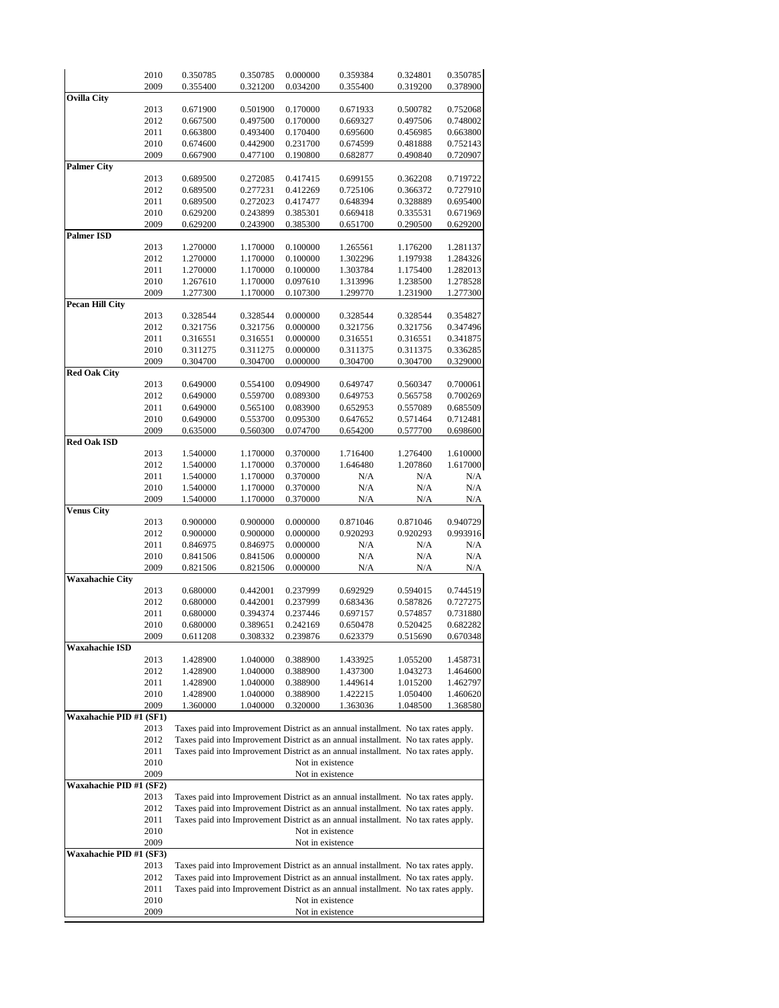|                         | 2010 | 0.350785                                                                                               | 0.350785 | 0.000000 | 0.359384                                                                           | 0.324801 | 0.350785 |  |  |
|-------------------------|------|--------------------------------------------------------------------------------------------------------|----------|----------|------------------------------------------------------------------------------------|----------|----------|--|--|
|                         | 2009 | 0.355400                                                                                               | 0.321200 | 0.034200 | 0.355400                                                                           | 0.319200 | 0.378900 |  |  |
| Ovilla City             |      |                                                                                                        |          |          |                                                                                    |          |          |  |  |
|                         | 2013 | 0.671900                                                                                               | 0.501900 | 0.170000 | 0.671933                                                                           | 0.500782 | 0.752068 |  |  |
|                         | 2012 | 0.667500                                                                                               | 0.497500 | 0.170000 | 0.669327                                                                           | 0.497506 | 0.748002 |  |  |
|                         | 2011 | 0.663800                                                                                               | 0.493400 | 0.170400 | 0.695600                                                                           | 0.456985 | 0.663800 |  |  |
|                         | 2010 | 0.674600                                                                                               | 0.442900 | 0.231700 | 0.674599                                                                           | 0.481888 | 0.752143 |  |  |
|                         | 2009 | 0.667900                                                                                               | 0.477100 | 0.190800 | 0.682877                                                                           | 0.490840 | 0.720907 |  |  |
| <b>Palmer City</b>      |      |                                                                                                        |          |          |                                                                                    |          |          |  |  |
|                         | 2013 | 0.689500                                                                                               | 0.272085 | 0.417415 | 0.699155                                                                           | 0.362208 | 0.719722 |  |  |
|                         | 2012 | 0.689500                                                                                               | 0.277231 | 0.412269 | 0.725106                                                                           | 0.366372 | 0.727910 |  |  |
|                         | 2011 | 0.689500                                                                                               | 0.272023 | 0.417477 | 0.648394                                                                           | 0.328889 | 0.695400 |  |  |
|                         | 2010 | 0.629200                                                                                               | 0.243899 | 0.385301 | 0.669418                                                                           | 0.335531 | 0.671969 |  |  |
|                         | 2009 | 0.629200                                                                                               | 0.243900 | 0.385300 | 0.651700                                                                           | 0.290500 | 0.629200 |  |  |
| <b>Palmer ISD</b>       |      |                                                                                                        |          |          |                                                                                    |          |          |  |  |
|                         | 2013 | 1.270000                                                                                               | 1.170000 | 0.100000 | 1.265561                                                                           | 1.176200 | 1.281137 |  |  |
|                         | 2012 | 1.270000                                                                                               | 1.170000 | 0.100000 | 1.302296                                                                           | 1.197938 | 1.284326 |  |  |
|                         | 2011 | 1.270000                                                                                               | 1.170000 | 0.100000 | 1.303784                                                                           | 1.175400 | 1.282013 |  |  |
|                         | 2010 |                                                                                                        |          |          |                                                                                    |          |          |  |  |
|                         |      | 1.267610                                                                                               | 1.170000 | 0.097610 | 1.313996                                                                           | 1.238500 | 1.278528 |  |  |
|                         | 2009 | 1.277300                                                                                               | 1.170000 | 0.107300 | 1.299770                                                                           | 1.231900 | 1.277300 |  |  |
| <b>Pecan Hill City</b>  |      |                                                                                                        |          |          |                                                                                    |          |          |  |  |
|                         | 2013 | 0.328544                                                                                               | 0.328544 | 0.000000 | 0.328544                                                                           | 0.328544 | 0.354827 |  |  |
|                         | 2012 | 0.321756                                                                                               | 0.321756 | 0.000000 | 0.321756                                                                           | 0.321756 | 0.347496 |  |  |
|                         | 2011 | 0.316551                                                                                               | 0.316551 | 0.000000 | 0.316551                                                                           | 0.316551 | 0.341875 |  |  |
|                         | 2010 | 0.311275                                                                                               | 0.311275 | 0.000000 | 0.311375                                                                           | 0.311375 | 0.336285 |  |  |
|                         | 2009 | 0.304700                                                                                               | 0.304700 | 0.000000 | 0.304700                                                                           | 0.304700 | 0.329000 |  |  |
| <b>Red Oak City</b>     |      |                                                                                                        |          |          |                                                                                    |          |          |  |  |
|                         | 2013 | 0.649000                                                                                               | 0.554100 | 0.094900 | 0.649747                                                                           | 0.560347 | 0.700061 |  |  |
|                         | 2012 | 0.649000                                                                                               | 0.559700 | 0.089300 | 0.649753                                                                           | 0.565758 | 0.700269 |  |  |
|                         | 2011 | 0.649000                                                                                               | 0.565100 | 0.083900 | 0.652953                                                                           | 0.557089 | 0.685509 |  |  |
|                         | 2010 | 0.649000                                                                                               | 0.553700 | 0.095300 | 0.647652                                                                           | 0.571464 | 0.712481 |  |  |
|                         | 2009 | 0.635000                                                                                               | 0.560300 | 0.074700 | 0.654200                                                                           | 0.577700 | 0.698600 |  |  |
| <b>Red Oak ISD</b>      |      |                                                                                                        |          |          |                                                                                    |          |          |  |  |
|                         | 2013 | 1.540000                                                                                               | 1.170000 | 0.370000 | 1.716400                                                                           | 1.276400 | 1.610000 |  |  |
|                         | 2012 | 1.540000                                                                                               | 1.170000 | 0.370000 | 1.646480                                                                           | 1.207860 | 1.617000 |  |  |
|                         | 2011 | 1.540000                                                                                               | 1.170000 | 0.370000 | N/A                                                                                | N/A      | N/A      |  |  |
|                         | 2010 | 1.540000                                                                                               | 1.170000 | 0.370000 | N/A                                                                                | N/A      | N/A      |  |  |
|                         | 2009 | 1.540000                                                                                               | 1.170000 | 0.370000 | N/A                                                                                | N/A      | N/A      |  |  |
| <b>Venus City</b>       |      |                                                                                                        |          |          |                                                                                    |          |          |  |  |
|                         | 2013 | 0.900000                                                                                               | 0.900000 | 0.000000 | 0.871046                                                                           | 0.871046 | 0.940729 |  |  |
|                         | 2012 | 0.900000                                                                                               | 0.900000 | 0.000000 | 0.920293                                                                           | 0.920293 | 0.993916 |  |  |
|                         | 2011 | 0.846975                                                                                               | 0.846975 | 0.000000 | N/A                                                                                | N/A      | N/A      |  |  |
|                         | 2010 | 0.841506                                                                                               | 0.841506 | 0.000000 | N/A                                                                                | N/A      | N/A      |  |  |
|                         | 2009 | 0.821506                                                                                               | 0.821506 | 0.000000 | N/A                                                                                | N/A      | N/A      |  |  |
| <b>Waxahachie City</b>  |      |                                                                                                        |          |          |                                                                                    |          |          |  |  |
|                         | 2013 | 0.680000                                                                                               | 0.442001 | 0.237999 | 0.692929                                                                           | 0.594015 | 0.744519 |  |  |
|                         | 2012 | 0.680000                                                                                               | 0.442001 | 0.237999 | 0.683436                                                                           | 0.587826 | 0.727275 |  |  |
|                         | 2011 | 0.680000                                                                                               | 0.394374 | 0.237446 | 0.697157                                                                           | 0.574857 | 0.731880 |  |  |
|                         | 2010 | 0.680000                                                                                               | 0.389651 | 0.242169 | 0.650478                                                                           | 0.520425 | 0.682282 |  |  |
|                         | 2009 | 0.611208                                                                                               | 0.308332 | 0.239876 | 0.623379                                                                           | 0.515690 | 0.670348 |  |  |
| Waxahachie ISD          |      |                                                                                                        |          |          |                                                                                    |          |          |  |  |
|                         | 2013 | 1.428900                                                                                               | 1.040000 | 0.388900 | 1.433925                                                                           | 1.055200 | 1.458731 |  |  |
|                         | 2012 | 1.428900                                                                                               | 1.040000 | 0.388900 | 1.437300                                                                           | 1.043273 | 1.464600 |  |  |
|                         | 2011 | 1.428900                                                                                               | 1.040000 | 0.388900 | 1.449614                                                                           | 1.015200 | 1.462797 |  |  |
|                         | 2010 | 1.428900                                                                                               | 1.040000 | 0.388900 | 1.422215                                                                           | 1.050400 | 1.460620 |  |  |
|                         | 2009 | 1.360000                                                                                               | 1.040000 | 0.320000 | 1.363036                                                                           | 1.048500 | 1.368580 |  |  |
| Waxahachie PID #1 (SF1) |      |                                                                                                        |          |          |                                                                                    |          |          |  |  |
|                         | 2013 |                                                                                                        |          |          | Taxes paid into Improvement District as an annual installment. No tax rates apply. |          |          |  |  |
|                         | 2012 |                                                                                                        |          |          | Taxes paid into Improvement District as an annual installment. No tax rates apply. |          |          |  |  |
|                         | 2011 |                                                                                                        |          |          | Taxes paid into Improvement District as an annual installment. No tax rates apply. |          |          |  |  |
|                         | 2010 |                                                                                                        |          |          | Not in existence                                                                   |          |          |  |  |
|                         | 2009 |                                                                                                        |          |          | Not in existence                                                                   |          |          |  |  |
| Waxahachie PID #1 (SF2) |      |                                                                                                        |          |          |                                                                                    |          |          |  |  |
|                         | 2013 |                                                                                                        |          |          | Taxes paid into Improvement District as an annual installment. No tax rates apply. |          |          |  |  |
|                         | 2012 |                                                                                                        |          |          | Taxes paid into Improvement District as an annual installment. No tax rates apply. |          |          |  |  |
|                         | 2011 |                                                                                                        |          |          | Taxes paid into Improvement District as an annual installment. No tax rates apply. |          |          |  |  |
|                         | 2010 |                                                                                                        |          |          | Not in existence                                                                   |          |          |  |  |
|                         | 2009 |                                                                                                        |          |          | Not in existence                                                                   |          |          |  |  |
| Waxahachie PID #1 (SF3) |      |                                                                                                        |          |          |                                                                                    |          |          |  |  |
|                         | 2013 |                                                                                                        |          |          | Taxes paid into Improvement District as an annual installment. No tax rates apply. |          |          |  |  |
|                         | 2012 |                                                                                                        |          |          | Taxes paid into Improvement District as an annual installment. No tax rates apply. |          |          |  |  |
|                         | 2011 |                                                                                                        |          |          |                                                                                    |          |          |  |  |
|                         |      | Taxes paid into Improvement District as an annual installment. No tax rates apply.<br>Not in existence |          |          |                                                                                    |          |          |  |  |
|                         | 2010 |                                                                                                        |          |          |                                                                                    |          |          |  |  |
|                         | 2009 | Not in existence                                                                                       |          |          |                                                                                    |          |          |  |  |